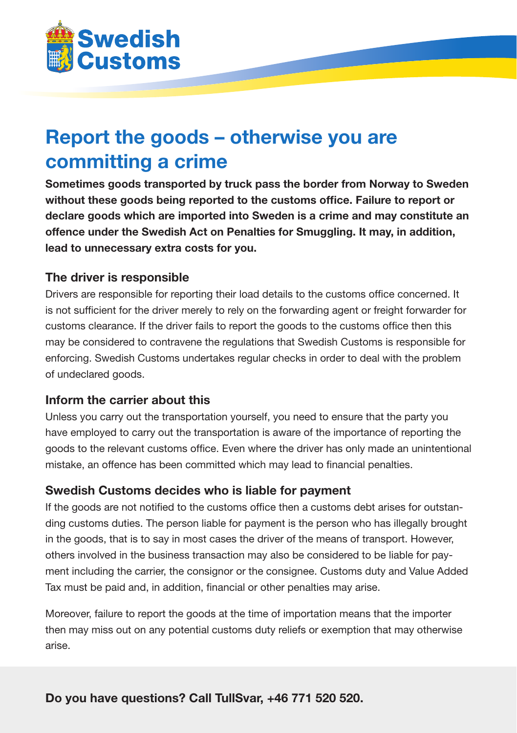

# **Report the goods – otherwise you are committing a crime**

**Sometimes goods transported by truck pass the border from Norway to Sweden without these goods being reported to the customs office. Failure to report or declare goods which are imported into Sweden is a crime and may constitute an offence under the Swedish Act on Penalties for Smuggling. It may, in addition, lead to unnecessary extra costs for you.**

### **The driver is responsible**

Drivers are responsible for reporting their load details to the customs office concerned. It is not sufficient for the driver merely to rely on the forwarding agent or freight forwarder for customs clearance. If the driver fails to report the goods to the customs office then this may be considered to contravene the regulations that Swedish Customs is responsible for enforcing. Swedish Customs undertakes regular checks in order to deal with the problem of undeclared goods.

### **Inform the carrier about this**

Unless you carry out the transportation yourself, you need to ensure that the party you have employed to carry out the transportation is aware of the importance of reporting the goods to the relevant customs office. Even where the driver has only made an unintentional mistake, an offence has been committed which may lead to financial penalties.

### **Swedish Customs decides who is liable for payment**

If the goods are not notified to the customs office then a customs debt arises for outstanding customs duties. The person liable for payment is the person who has illegally brought in the goods, that is to say in most cases the driver of the means of transport. However, others involved in the business transaction may also be considered to be liable for payment including the carrier, the consignor or the consignee. Customs duty and Value Added Tax must be paid and, in addition, financial or other penalties may arise.

Moreover, failure to report the goods at the time of importation means that the importer then may miss out on any potential customs duty reliefs or exemption that may otherwise arise.